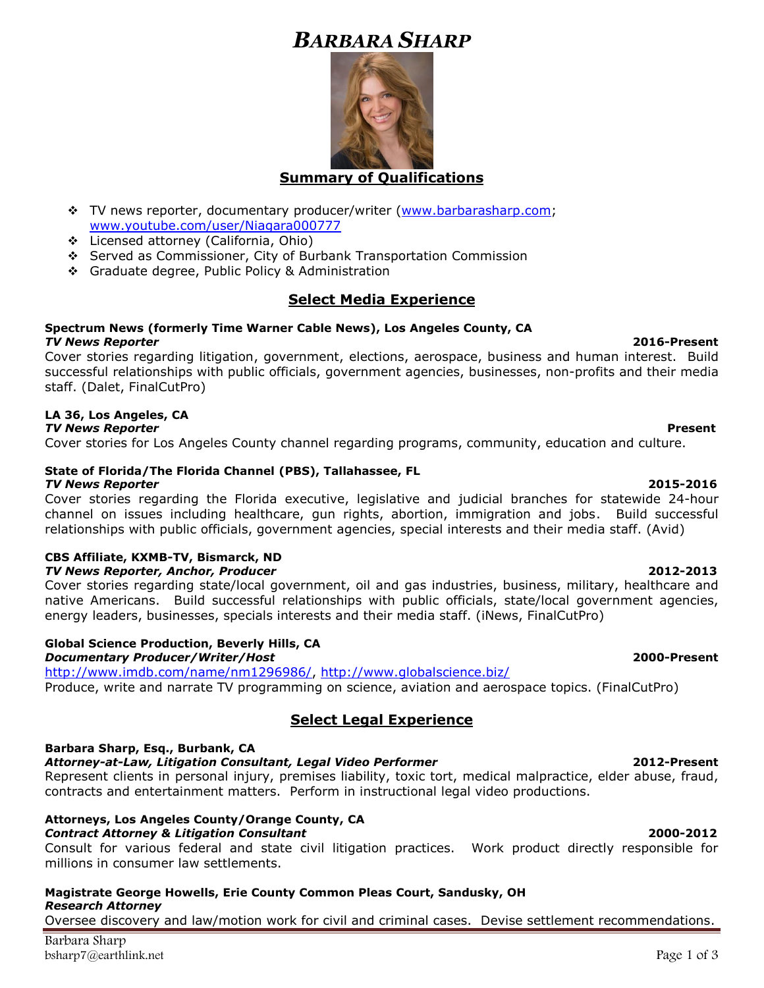# *BARBARA SHARP*



# **Summary of Qualifications**

- ❖ TV news reporter, documentary producer/writer [\(www.barbarasharp.com;](http://www.barbarasharp.com/) [www.youtube.com/user/Niagara000777](http://www.youtube.com/user/Niagara000777)
- ❖ Licensed attorney (California, Ohio)
- ❖ Served as Commissioner, City of Burbank Transportation Commission
- ❖ Graduate degree, Public Policy & Administration

# **Select Media Experience**

### **Spectrum News (formerly Time Warner Cable News), Los Angeles County, CA**  *TV News Reporter* **2016-Present**

Cover stories regarding litigation, government, elections, aerospace, business and human interest. Build successful relationships with public officials, government agencies, businesses, non-profits and their media staff. (Dalet, FinalCutPro)

# **LA 36, Los Angeles, CA**

*TV News Reporter* **Present** Cover stories for Los Angeles County channel regarding programs, community, education and culture.

### **State of Florida/The Florida Channel (PBS), Tallahassee, FL**  *TV News Reporter* **2015-2016**

Cover stories regarding the Florida executive, legislative and judicial branches for statewide 24-hour channel on issues including healthcare, gun rights, abortion, immigration and jobs. Build successful relationships with public officials, government agencies, special interests and their media staff. (Avid)

### **CBS Affiliate, KXMB-TV, Bismarck, ND**  *TV News Reporter, Anchor, Producer* **2012-2013**

Cover stories regarding state/local government, oil and gas industries, business, military, healthcare and native Americans. Build successful relationships with public officials, state/local government agencies, energy leaders, businesses, specials interests and their media staff. (iNews, FinalCutPro)

# **Global Science Production, Beverly Hills, CA**

*Documentary Producer/Writer/Host* **2000-Present**

[http://www.imdb.com/name/nm1296986/,](http://www.imdb.com/name/nm1296986/)<http://www.globalscience.biz/> Produce, write and narrate TV programming on science, aviation and aerospace topics. (FinalCutPro)

# **Select Legal Experience**

# **Barbara Sharp, Esq., Burbank, CA**

*Attorney-at-Law, Litigation Consultant, Legal Video Performer* **2012-Present** 

Represent clients in personal injury, premises liability, toxic tort, medical malpractice, elder abuse, fraud, contracts and entertainment matters. Perform in instructional legal video productions.

# **Attorneys, Los Angeles County/Orange County, CA**

*Contract Attorney & Litigation Consultant* **2000-2012**  Consult for various federal and state civil litigation practices. Work product directly responsible for millions in consumer law settlements.

#### **Magistrate George Howells, Erie County Common Pleas Court, Sandusky, OH** *Research Attorney*

Oversee discovery and law/motion work for civil and criminal cases. Devise settlement recommendations.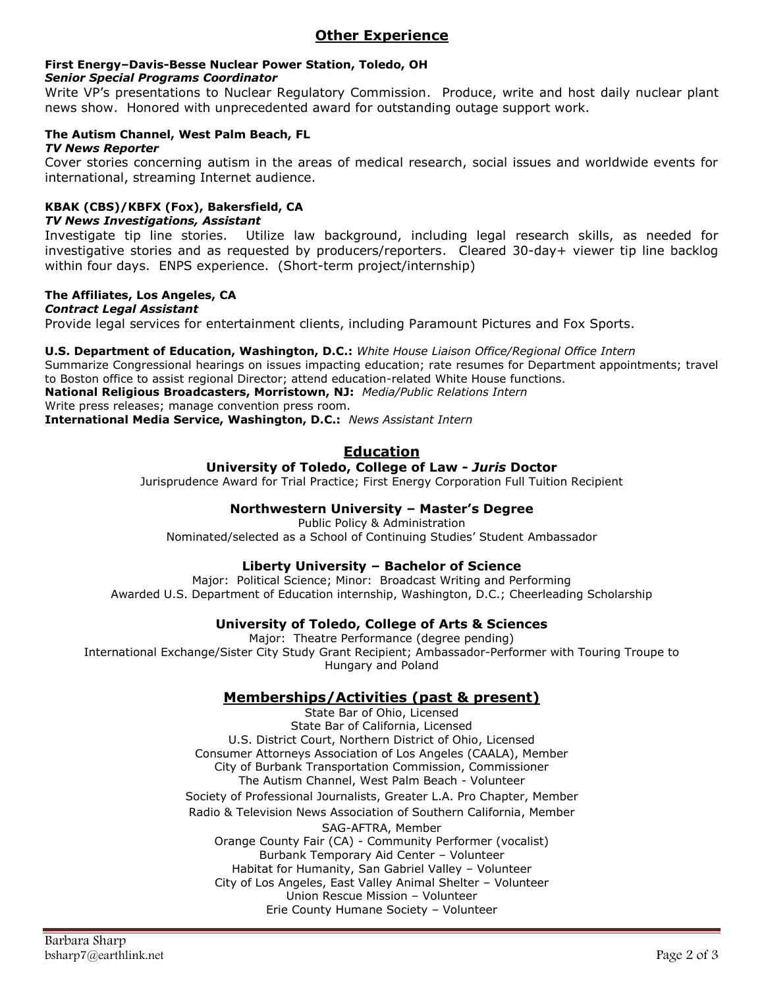# **First Energy–Davis-Besse Nuclear Power Station, Toledo, OH**

### *Senior Special Programs Coordinator*

Write VP's presentations to Nuclear Regulatory Commission. Produce, write and host daily nuclear plant news show. Honored with unprecedented award for outstanding outage support work.

#### **The Autism Channel, West Palm Beach, FL** *TV News Reporter*

Cover stories concerning autism in the areas of medical research, social issues and worldwide events for international, streaming Internet audience.

### **KBAK (CBS)/KBFX (Fox), Bakersfield, CA**  *TV News Investigations, Assistant*

Investigate tip line stories. Utilize law background, including legal research skills, as needed for investigative stories and as requested by producers/reporters. Cleared 30-day+ viewer tip line backlog within four days. ENPS experience. (Short-term project/internship)

# **The Affiliates, Los Angeles, CA**

*Contract Legal Assistant* Provide legal services for entertainment clients, including Paramount Pictures and Fox Sports.

# **U.S. Department of Education, Washington, D.C.:** *White House Liaison Office/Regional Office Intern*

Summarize Congressional hearings on issues impacting education; rate resumes for Department appointments; travel to Boston office to assist regional Director; attend education-related White House functions.

**National Religious Broadcasters, Morristown, NJ:** *Media/Public Relations Intern*

Write press releases; manage convention press room.

**International Media Service, Washington, D.C.:** *News Assistant Intern*

# **Education**

# **University of Toledo, College of Law -** *Juris* **Doctor**

Jurisprudence Award for Trial Practice; First Energy Corporation Full Tuition Recipient

# **Northwestern University – Master's Degree**

Public Policy & Administration Nominated/selected as a School of Continuing Studies' Student Ambassador

# **Liberty University – Bachelor of Science**

Major: Political Science; Minor: Broadcast Writing and Performing Awarded U.S. Department of Education internship, Washington, D.C.; Cheerleading Scholarship

# **University of Toledo, College of Arts & Sciences**

Major: Theatre Performance (degree pending) International Exchange/Sister City Study Grant Recipient; Ambassador-Performer with Touring Troupe to Hungary and Poland

# **Memberships/Activities (past & present)**

State Bar of Ohio, Licensed State Bar of California, Licensed U.S. District Court, Northern District of Ohio, Licensed Consumer Attorneys Association of Los Angeles (CAALA), Member City of Burbank Transportation Commission, Commissioner The Autism Channel, West Palm Beach - Volunteer Society of Professional Journalists, Greater L.A. Pro Chapter, Member Radio & Television News Association of Southern California, Member SAG-AFTRA, Member Orange County Fair (CA) - Community Performer (vocalist) Burbank Temporary Aid Center – Volunteer Habitat for Humanity, San Gabriel Valley – Volunteer City of Los Angeles, East Valley Animal Shelter – Volunteer Union Rescue Mission – Volunteer Erie County Humane Society – Volunteer